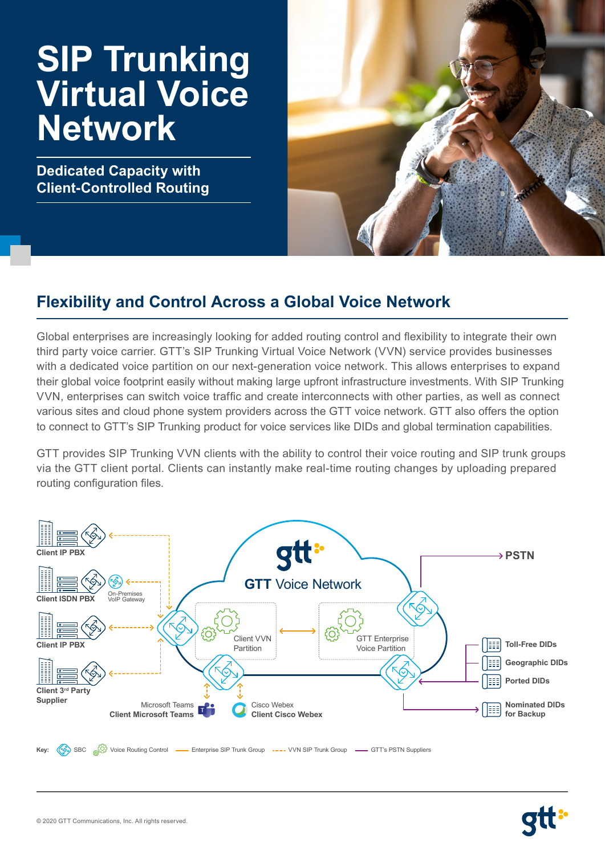# **SIP Trunking Virtual Voice Network**

**Dedicated Capacity with Client-Controlled Routing**



# **Flexibility and Control Across a Global Voice Network**

Global enterprises are increasingly looking for added routing control and flexibility to integrate their own third party voice carrier. GTT's SIP Trunking Virtual Voice Network (VVN) service provides businesses with a dedicated voice partition on our next-generation voice network. This allows enterprises to expand their global voice footprint easily without making large upfront infrastructure investments. With SIP Trunking VVN, enterprises can switch voice traffic and create interconnects with other parties, as well as connect various sites and cloud phone system providers across the GTT voice network. GTT also offers the option to connect to GTT's SIP Trunking product for voice services like DIDs and global termination capabilities.

GTT provides SIP Trunking VVN clients with the ability to control their voice routing and SIP trunk groups via the GTT client portal. Clients can instantly make real-time routing changes by uploading prepared routing configuration files.